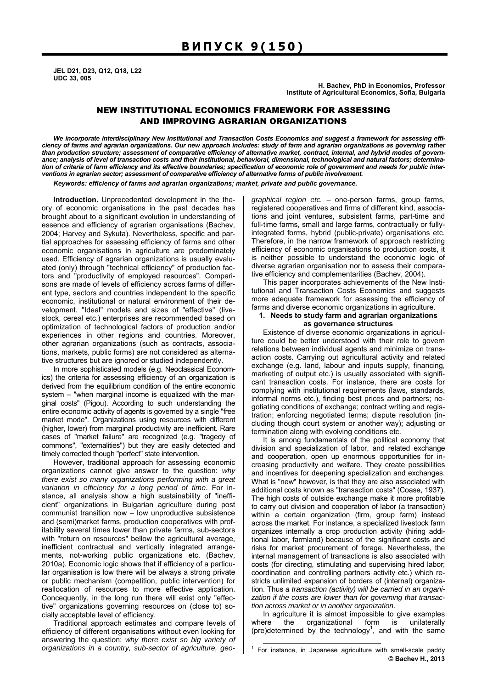**JEL D21, D23, Q12, Q18, L22 UDC 33, 005** 

**H. Bachev, PhD in Economics, Professor Institute of Agricultural Economics, Sofia, Bulgaria** 

# NEW INSTITUTIONAL ECONOMICS FRAMEWORK FOR ASSESSING AND IMPROVING AGRARIAN ORGANIZATIONS

We incorporate interdisciplinary New Institutional and Transaction Costs Economics and suggest a framework for assessing effi*ciency of farms and agrarian organizations. Our new approach includes: study of farm and agrarian organizations as governing rather than production structure; assessment of comparative efficiency of alternative market, contract, internal, and hybrid modes of governance; analysis of level of transaction costs and their institutional, behavioral, dimensional, technological and natural factors; determination of criteria of farm efficiency and its effective boundaries; specification of economic role of government and needs for public interventions in agrarian sector; assessment of comparative efficiency of alternative forms of public involvement.* 

*Keywords: efficiency of farms and agrarian organizations; market, private and public governance.* 

**Introduction.** Unprecedented development in the theory of economic organisations in the past decades has brought about to a significant evolution in understanding of essence and efficiency of agrarian organisations (Bachev, 2004; Harvey and Sykuta). Nevertheless, specific and partial approaches for assessing efficiency of farms and other economic organisations in agriculture are predominately used. Efficiency of agrarian organizations is usually evaluated (only) through "technical efficiency" of production factors and "productivity of employed resources". Comparisons are made of levels of efficiency across farms of different type, sectors and countries independent to the specific economic, institutional or natural environment of their development. "Ideal" models and sizes of "effective" (livestock, cereal etc.) enterprises are recommended based on optimization of technological factors of production and/or experiences in other regions and countries. Moreover, other agrarian organizations (such as contracts, associations, markets, public forms) are not considered as alternative structures but are ignored or studied independently.

In more sophisticated models (e.g. Neoclassical Economics) the criteria for assessing efficiency of an organization is derived from the equilibrium condition of the entire economic system – "when marginal income is equalized with the marginal costs" (Pigou). According to such understanding the entire economic activity of agents is governed by a single "free market mode". Organizations using resources with different (higher, lower) from marginal productivity are inefficient. Rare cases of "market failure" are recognized (e.g. "tragedy of commons", "externalities") but they are easily detected and timely corrected though "perfect" state intervention.

However, traditional approach for assessing economic organizations cannot give answer to the question: *why there exist so many organizations performing with a great variation in efficiency for a long period of time*. For instance, all analysis show a high sustainability of "inefficient" organizations in Bulgarian agriculture during post communist transition now – low unproductive subsistence and (semi)market farms, production cooperatives with profitability several times lower than private farms, sub-sectors with "return on resources" bellow the agricultural average, inefficient contractual and vertically integrated arrangements, not-working public organizations etc. (Bachev, 2010a). Economic logic shows that if efficiency of a particular organisation is low there will be always a strong private or public mechanism (competition, public intervention) for reallocation of resources to more effective application. Concequently, in the long run there will exist only "effective" organizations governing resources on (close to) socially acceptable level of efficiency.

Traditional approach estimates and compare levels of efficiency of different organisations without even looking for answering the question: *why there exist so big variety of organizations in a country, sub-sector of agriculture, geo-* *graphical region etc.* – one-person farms, group farms, registered cooperatives and firms of different kind, associations and joint ventures, subsistent farms, part-time and full-time farms, small and large farms, contractually or fullyintegrated forms, hybrid (public-private) organisations etc. Therefore, in the narrow framework of approach restricting efficiency of economic organisations to production costs, it is neither possible to understand the economic logic of diverse agrarian organisation nor to assess their comparative efficiency and complementarities (Bachev, 2004).

This paper incorporates achievements of the New Institutional and Transaction Costs Economics and suggests more adequate framework for assessing the efficiency of farms and diverse economic organizations in agriculture.

## **1. Needs to study farm and agrarian organizations as governance structures**

Existence of diverse economic organizations in agriculture could be better understood with their role to govern relations between individual agents and minimize on transaction costs. Carrying out agricultural activity and related exchange (e.g. land, labour and inputs supply, financing, marketing of output etc.) is usually associated with significant transaction costs. For instance, there are costs for complying with institutional requirements (laws, standards, informal norms etc.), finding best prices and partners; negotiating conditions of exchange; contract writing and registration; enforcing negotiated terms; dispute resolution (including though court system or another way); adjusting or termination along with evolving conditions etc.

It is among fundamentals of the political economy that division and specialization of labor, and related exchange and cooperation, open up enormous opportunities for increasing productivity and welfare. They create possibilities and incentives for deepening specialization and exchanges. What is "new" however, is that they are also associated with additional costs known as "transaction costs" (Coase, 1937). The high costs of outside exchange make it more profitable to carry out division and cooperation of labor (a transaction) within a certain organization (firm, group farm) instead across the market. For instance, a specialized livestock farm organizes internally a crop production activity (hiring additional labor, farmland) because of the significant costs and risks for market procurement of forage. Nevertheless, the internal management of transactions is also associated with costs (for directing, stimulating and supervising hired labor; coordination and controlling partners activity etc.) which restricts unlimited expansion of borders of (internal) organization. Thus *a transaction (activity) will be carried in an organization if the costs are lower than for governing that transaction across market or in another organization*.

In agriculture it is almost impossible to give examples where the organizational form is unilaterally (pre)determined by the technology<sup>1</sup>, and with the same

 <sup>1</sup> For instance, in Japanese agriculture with small-scale paddy **© Bachev H., 2013**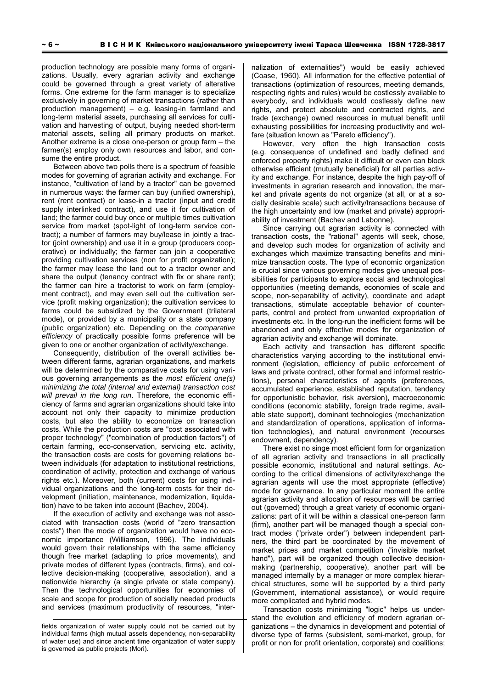production technology are possible many forms of organizations. Usually, every agrarian activity and exchange could be governed through a great variety of alterative forms. One extreme for the farm manager is to specialize exclusively in governing of market transactions (rather than production management) – e.g. leasing-in farmland and long-term material assets, purchasing all services for cultivation and harvesting of output, buying needed short-term material assets, selling all primary products on market. Another extreme is a close one-person or group farm – the farmer(s) employ only own resources and labor, and consume the entire product.

Between above two polls there is a spectrum of feasible modes for governing of agrarian activity and exchange. For instance, "cultivation of land by a tractor" can be governed in numerous ways: the farmer can buy (unified ownership), rent (rent contract) or lease-in a tractor (input and credit supply interlinked contract), and use it for cultivation of land; the farmer could buy once or multiple times cultivation service from market (spot-light of long-term service contract); a number of farmers may buy/lease in jointly a tractor (joint ownership) and use it in a group (producers cooperative) or individually; the farmer can join a cooperative providing cultivation services (non for profit organization); the farmer may lease the land out to a tractor owner and share the output (tenancy contract with fix or share rent); the farmer can hire a tractorist to work on farm (employment contract), and may even sell out the cultivation service (profit making organization); the cultivation services to farms could be subsidized by the Government (trilateral mode), or provided by a municipality or a state company (public organization) etc. Depending on the *comparative efficiency* of practically possible forms preference will be given to one or another organization of activity/exchange.

Consequently, distribution of the overall activities between different farms, agrarian organizations, and markets will be determined by the comparative costs for using various governing arrangements as the *most efficient one(s) minimizing the total (internal and external) transaction cost will prevail in the long run*. Therefore, the economic efficiency of farms and agrarian organizations should take into account not only their capacity to minimize production costs, but also the ability to economize on transaction costs. While the production costs are "cost associated with proper technology" ("combination of production factors") of certain farming, eco-conservation, servicing etc. activity, the transaction costs are costs for governing relations between individuals (for adaptation to institutional restrictions, coordination of activity, protection and exchange of various rights etc.). Moreover, both (current) costs for using individual organizations and the long-term costs for their development (initiation, maintenance, modernization, liquidation) have to be taken into account (Bachev, 2004).

If the execution of activity and exchange was not associated with transaction costs (world of "zero transaction costs") then the mode of organization would have no economic importance (Williamson, 1996). The individuals would govern their relationships with the same efficiency though free market (adapting to price movements), and private modes of different types (contracts, firms), and collective decision-making (cooperative, association), and a nationwide hierarchy (a single private or state company). Then the technological opportunities for economies of scale and scope for production of socially needed products and services (maximum productivity of resources, "inter-

-

nalization of externalities") would be easily achieved (Coase, 1960). All information for the effective potential of transactions (optimization of resources, meeting demands, respecting rights and rules) would be costlessly available to everybody, and individuals would costlessly define new rights, and protect absolute and contracted rights, and trade (exchange) owned resources in mutual benefit until exhausting possibilities for increasing productivity and welfare (situation known as "Pareto efficiency").

However, very often the high transaction costs (e.g. consequence of undefined and badly defined and enforced property rights) make it difficult or even can block otherwise efficient (mutually beneficial) for all parties activity and exchange. For instance, despite the high pay-off of investments in agrarian research and innovation, the market and private agents do not organize (at all, or at a socially desirable scale) such activity/transactions because of the high uncertainty and low (market and private) appropriability of investment (Bachev and Labonne).

Since carrying out agrarian activity is connected with transaction costs, the "rational" agents will seek, chose, and develop such modes for organization of activity and exchanges which maximize transacting benefits and minimize transaction costs. The type of economic organization is crucial since various governing modes give unequal possibilities for participants to explore social and technological opportunities (meeting demands, economies of scale and scope, non-separability of activity), coordinate and adapt transactions, stimulate acceptable behavior of counterparts, control and protect from unwanted expropriation of investments etc. In the long-run the inefficient forms will be abandoned and only effective modes for organization of agrarian activity and exchange will dominate.

Each activity and transaction has different specific characteristics varying according to the institutional environment (legislation, efficiency of public enforcement of laws and private contract, other formal and informal restrictions), personal characteristics of agents (preferences, accumulated experience, established reputation, tendency for opportunistic behavior, risk aversion), macroeconomic conditions (economic stability, foreign trade regime, available state support), dominant technologies (mechanization and standardization of operations, application of information technologies), and natural environment (recourses endowment, dependency).

There exist no singe most efficient form for organization of all agrarian activity and transactions in all practically possible economic, institutional and natural settings. According to the critical dimensions of activity/exchange the agrarian agents will use the most appropriate (effective) mode for governance. In any particular moment the entire agrarian activity and allocation of resources will be carried out (governed) through a great variety of economic organizations: part of it will be within a classical one-person farm (firm), another part will be managed though a special contract modes ("private order") between independent partners, the third part be coordinated by the movement of market prices and market competition ('invisible market hand"), part will be organized though collective decisionmaking (partnership, cooperative), another part will be managed internally by a manager or more complex hierarchical structures, some will be supported by a third party (Government, international assistance), or would require more complicated and hybrid modes.

Transaction costs minimizing "logic" helps us understand the evolution and efficiency of modern agrarian organizations – the dynamics in development and potential of diverse type of farms (subsistent, semi-market, group, for profit or non for profit orientation, corporate) and coalitions;

fields organization of water supply could not be carried out by individual farms (high mutual assets dependency, non-separability of water use) and since ancient time organization of water supply is governed as public projects (Mori).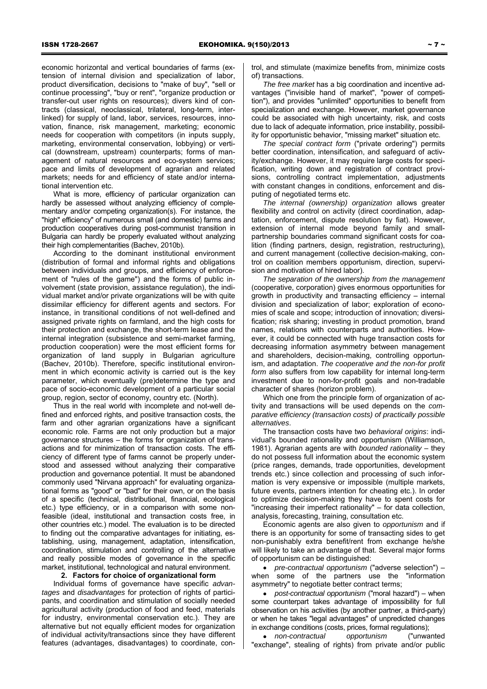economic horizontal and vertical boundaries of farms (extension of internal division and specialization of labor, product diversification, decisions to "make of buy", "sell or continue processing", "buy or rent", "organize production or transfer-out user rights on resources); divers kind of contracts (classical, neoclassical, trilateral, long-term, interlinked) for supply of land, labor, services, resources, innovation, finance, risk management, marketing; economic needs for cooperation with competitors (in inputs supply, marketing, environmental conservation, lobbying) or vertical (downstream, upstream) counterparts; forms of management of natural resources and eco-system services; pace and limits of development of agrarian and related markets; needs for and efficiency of state and/or international intervention etc.

What is more, efficiency of particular organization can hardly be assessed without analyzing efficiency of complementary and/or competing organization(s). For instance, the "high" efficiency" of numerous small (and domestic) farms and production cooperatives during post-communist transition in Bulgaria can hardly be properly evaluated without analyzing their high complementarities (Bachev, 2010b).

According to the dominant institutional environment (distribution of formal and informal rights and obligations between individuals and groups, and efficiency of enforcement of "rules of the game") and the forms of public involvement (state provision, assistance regulation), the individual market and/or private organizations will be with quite dissimilar efficiency for different agents and sectors. For instance, in transitional conditions of not well-defined and assigned private rights on farmland, and the high costs for their protection and exchange, the short-term lease and the internal integration (subsistence and semi-market farming, production cooperation) were the most efficient forms for organization of land supply in Bulgarian agriculture (Bachev, 2010b). Therefore, specific institutional environment in which economic activity is carried out is the key parameter, which eventually (pre)determine the type and pace of socio-economic development of a particular social group, region, sector of economy, country etc. (North).

Thus in the real world with incomplete and not-well defined and enforced rights, and positive transaction costs, the farm and other agrarian organizations have a significant economic role. Farms are not only production but a major governance structures – the forms for organization of transactions and for minimization of transaction costs. The efficiency of different type of farms cannot be properly understood and assessed without analyzing their comparative production and governance potential. It must be abandoned commonly used "Nirvana approach" for evaluating organizational forms as "good" or "bad" for their own, or on the basis of a specific (technical, distributional, financial, ecological etc.) type efficiency, or in a comparison with some nonfeasible (ideal, institutional and transaction costs free, in other countries etc.) model. The evaluation is to be directed to finding out the comparative advantages for initiating, establishing, using, management, adaptation, intensification, coordination, stimulation and controlling of the alternative and really possible modes of governance in the specific market, institutional, technological and natural environment.

## **2. Factors for choice of organizational form**

Individual forms of governance have specific *advantages* and *disadvantages* for protection of rights of participants, and coordination and stimulation of socially needed agricultural activity (production of food and feed, materials for industry, environmental conservation etc.). They are alternative but not equally efficient modes for organization of individual activity/transactions since they have different features (advantages, disadvantages) to coordinate, control, and stimulate (maximize benefits from, minimize costs of) transactions.

*The free market* has a big coordination and incentive advantages ("invisible hand of market", "power of competition"), and provides "unlimited" opportunities to benefit from specialization and exchange. However, market governance could be associated with high uncertainty, risk, and costs due to lack of adequate information, price instability, possibility for opportunistic behavior, "missing market" situation etc.

*The special contract form* ("private ordering") permits better coordination, intensification, and safeguard of activity/exchange. However, it may require large costs for specification, writing down and registration of contract provisions, controlling contract implementation, adjustments with constant changes in conditions, enforcement and disputing of negotiated terms etc.

*The internal (ownership) organization* allows greater flexibility and control on activity (direct coordination, adaptation, enforcement, dispute resolution by fiat). However, extension of internal mode beyond family and smallpartnership boundaries command significant costs for coalition (finding partners, design, registration, restructuring), and current management (collective decision-making, control on coalition members opportunism, direction, supervision and motivation of hired labor).

*The separation of the ownership from the management* (cooperative, corporation) gives enormous opportunities for growth in productivity and transacting efficiency – internal division and specialization of labor; exploration of economies of scale and scope; introduction of innovation; diversification; risk sharing; investing in product promotion, brand names, relations with counterparts and authorities. However, it could be connected with huge transaction costs for decreasing information asymmetry between management and shareholders, decision-making, controlling opportunism, and adaptation. *The cooperative and the non-for profit form* also suffers from low capability for internal long-term investment due to non-for-profit goals and non-tradable character of shares (horizon problem).

Which one from the principle form of organization of activity and transactions will be used depends on the *comparative efficiency (transaction costs) of practically possible alternatives*.

The transaction costs have two *behavioral origins*: individual's bounded rationality and opportunism (Williamson, 1981). Agrarian agents are with *bounded rationality* – they do not possess full information about the economic system (price ranges, demands, trade opportunities, development trends etc.) since collection and processing of such information is very expensive or impossible (multiple markets, future events, partners intention for cheating etc.). In order to optimize decision-making they have to spent costs for "increasing their imperfect rationality" – for data collection, analysis, forecasting, training, consultation etc.

Economic agents are also given to *opportunism* and if there is an opportunity for some of transacting sides to get non-punishably extra benefit/rent from exchange he/she will likely to take an advantage of that. Several major forms of opportunism can be distinguished:

 *pre-contractual opportunism* ("adverse selection") – when some of the partners use the "information asymmetry" to negotiate better contract terms;

 *post-contractual opportunism* ("moral hazard") – when some counterpart takes advantage of impossibility for full observation on his activities (by another partner, a third-party) or when he takes "legal advantages" of unpredicted changes in exchange conditions (costs, prices, formal regulations);

 *non-contractual opportunism* ("unwanted "exchange", stealing of rights) from private and/or public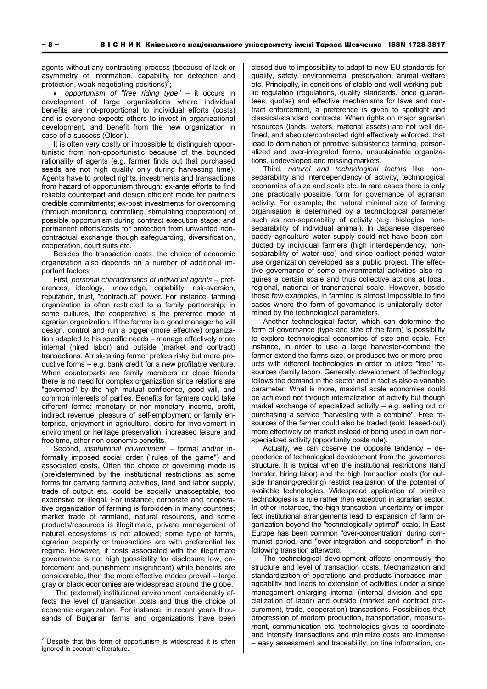agents without any contracting process (because of lack or asymmetry of information, capability for detection and protection, weak negotiating positions)<sup>2</sup>;

 *opportunism of "free riding type" –* it occurs in development of large organizations where individual benefits are not-proportional to individual efforts (costs) and is everyone expects others to invest in organizational development, and benefit from the new organization in case of a success (Olson).

It is often very costly or impossible to distinguish opportunistic from non-opportunistic because of the bounded rationality of agents (e.g. farmer finds out that purchased seeds are not high quality only during harvesting time). Agents have to protect rights, investments and transactions from hazard of opportunism through: ex-ante efforts to find reliable counterpart and design efficient mode for partners credible commitments; ex-post investments for overcoming (through monitoring, controlling, stimulating cooperation) of possible opportunism during contract execution stage; and permanent efforts/costs for protection from unwanted noncontractual exchange though safeguarding, diversification, cooperation, court suits etc.

Besides the transaction costs, the choice of economic organization also depends on a number of additional important factors:

First, *personal characteristics of individual agents* – preferences, ideology, knowledge, capability, risk-aversion, reputation, trust, "contractual" power. For instance, farming organization is often restricted to a family partnership; in some cultures, the cooperative is the preferred mode of agrarian organization. If the farmer is a good manager he will design, control and run a bigger (more effective) organization adapted to his specific needs – manage effectively more internal (hired labor) and outside (market and contract) transactions. A risk-taking farmer prefers risky but more productive forms – e.g. bank credit for a new profitable venture. When counterparts are family members or close friends there is no need for complex organization since relations are "governed" by the high mutual confidence, good will, and common interests of parties. Benefits for farmers could take different forms: monetary or non-monetary income, profit, indirect revenue, pleasure of self-employment or family enterprise, enjoyment in agriculture, desire for involvement in environment or heritage preservation, increased leisure and free time, other non-economic benefits.

Second, *institutional environment* – formal and/or informally imposed social order ("rules of the game") and associated costs. Often the choice of governing mode is (pre)determined by the institutional restrictions as some forms for carrying farming activities, land and labor supply, trade of output etc. could be socially unacceptable, too expensive or illegal. For instance, corporate and cooperative organization of farming is forbidden in many countries; market trade of farmland, natural resources, and some products/resources is illegitimate, private management of natural ecosystems is not allowed; some type of farms, agrarian property or transactions are with preferential tax regime. However, if costs associated with the illegitimate governance is not high (possibility for disclosure low, enforcement and punishment insignificant) while benefits are considerable, then the more effective modes prevail – large gray or black economies are widespread around the globe.

 The (external) institutional environment considerably affects the level of transaction costs and thus the choice of economic organization. For instance, in recent years thousands of Bulgarian farms and organizations have been closed due to impossibility to adapt to new EU standards for quality, safety, environmental preservation, animal welfare etc. Principally, in conditions of stable and well-working public regulation (regulations, quality standards, price guarantees, quotas) and effective mechanisms for laws and contract enforcement, a preference is given to spotlight and classical/standard contracts. When rights on major agrarian resources (lands, waters, material assets) are not well defined, and absolute/contracted right effectively enforced, that lead to domination of primitive subsistence farming, personalized and over-integrated forms, unsustainable organizations, undeveloped and missing markets.

Third, *natural and technological factors* like nonseparability and interdependency of activity, technological economies of size and scale etc. In rare cases there is only one practically possible form for governance of agrarian activity. For example, the natural minimal size of farming organisation is determined by a technological parameter such as non-separability of activity (e.g. biological nonseparability of individual animal). In Japanese dispersed paddy agriculture water supply could not have been conducted by individual farmers (high interdependency, nonseparability of water use) and since earliest period water use organization developed as a public project. The effective governance of some environmental activities also requires a certain scale and thus collective actions at local, regional, national or transnational scale. However, beside these few examples, in farming is almost impossible to find cases where the form of governance is unilaterally determined by the technological parameters.

Another technological factor, which can determine the form of governance (type and size of the farm) is possibility to explore technological economies of size and scale. For instance, in order to use a large harvester-combine the farmer extend the farms size, or produces two or more products with different technologies in order to utilize "free" resources (family labor). Generally, development of technology follows the demand in the sector and in fact is also a variable parameter. What is more, maximal scale economies could be achieved not through internalization of activity but though market exchange of specialized activity – e.g. selling out or purchasing a service "harvesting with a combine". Free resources of the farmer could also be traded (sold, leased-out) more effectively on market instead of being used in own nonspecialized activity (opportunity costs rule).

Actually, we can observe the opposite tendency – dependence of technological development from the governance structure. It is typical when the institutional restrictions (land transfer, hiring labor) and the high transaction costs (for outside financing/crediting) restrict realization of the potential of available technologies. Widespread application of primitive technologies is a rule rather then exception in agrarian sector. In other instances, the high transaction uncertainty or imperfect institutional arrangements lead to expansion of farm organization beyond the "technologically optimal" scale. In East Europe has been common "over-concentration" during communist period, and "over-integration and cooperation" in the following transition afterword.

The technological development affects enormously the structure and level of transaction costs. Mechanization and standardization of operations and products increases manageability and leads to extension of activities under a singe management enlarging internal (internal division and specialization of labor) and outside (market and contract procurement, trade, cooperation) transactions. Possibilities that progression of modern production, transportation, measurement, communication etc. technologies gives to coordinate and intensify transactions and minimize costs are immense – easy assessment and traceability; on line information, co-

<sup>&</sup>lt;sup>2</sup> Despite that this form of opportunism is widespread it is often ignored in economic literature.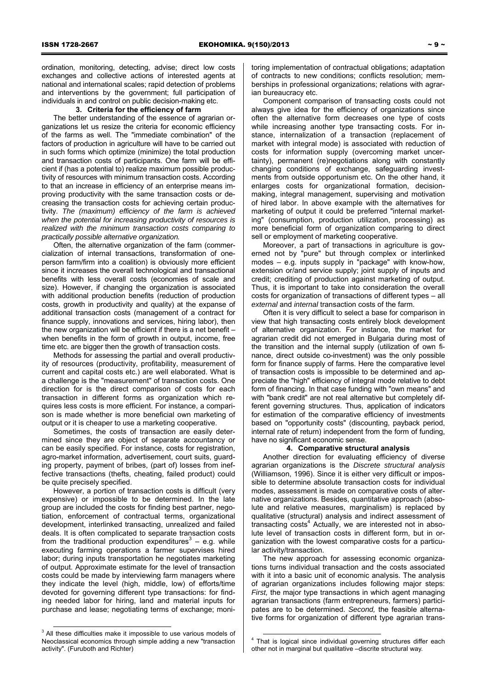ordination, monitoring, detecting, advise; direct low costs exchanges and collective actions of interested agents at national and international scales; rapid detection of problems and interventions by the government; full participation of individuals in and control on public decision-making etc.

### **3. Criteria for the efficiency of farm**

The better understanding of the essence of agrarian organizations let us resize the criteria for economic efficiency of the farms as well. The "immediate combination" of the factors of production in agriculture will have to be carried out in such forms which optimize (minimize) the total production and transaction costs of participants. One farm will be efficient if (has a potential to) realize maximum possible productivity of resources with minimum transaction costs. According to that an increase in efficiency of an enterprise means improving productivity with the same transaction costs or decreasing the transaction costs for achieving certain productivity. *The (maximum) efficiency of the farm is achieved when the potential for increasing productivity of resources is realized with the minimum transaction costs comparing to practically possible alternative organization.* 

Often, the alternative organization of the farm (commercialization of internal transactions, transformation of oneperson farm/firm into a coalition) is obviously more efficient since it increases the overall technological and transactional benefits with less overall costs (economies of scale and size). However, if changing the organization is associated with additional production benefits (reduction of production costs, growth in productivity and quality) at the expanse of additional transaction costs (management of a contract for finance supply, innovations and services, hiring labor), then the new organization will be efficient if there is a net benefit – when benefits in the form of growth in output, income, free time etc. are bigger then the growth of transaction costs.

Methods for assessing the partial and overall productivity of resources (productivity, profitability, measurement of current and capital costs etc.) are well elaborated. What is a challenge is the "measurement" of transaction costs. One direction for is the direct comparison of costs for each transaction in different forms as organization which requires less costs is more efficient. For instance, a comparison is made whether is more beneficial own marketing of output or it is cheaper to use a marketing cooperative.

Sometimes, the costs of transaction are easily determined since they are object of separate accountancy or can be easily specified. For instance, costs for registration, agro-market information, advertisement, court suits, guarding property, payment of bribes, (part of) losses from ineffective transactions (thefts, cheating, failed product) could be quite precisely specified.

However, a portion of transaction costs is difficult (very expensive) or impossible to be determined. In the late group are included the costs for finding best partner, negotiation, enforcement of contractual terms, organizational development, interlinked transacting, unrealized and failed deals. It is often complicated to separate transaction costs from the traditional production expenditures<sup>3</sup> – e.g. while executing farming operations a farmer supervises hired labor; during inputs transportation he negotiates marketing of output. Approximate estimate for the level of transaction costs could be made by interviewing farm managers where they indicate the level (high, middle, low) of efforts/time devoted for governing different type transactions: for finding needed labor for hiring, land and material inputs for purchase and lease; negotiating terms of exchange; monitoring implementation of contractual obligations; adaptation of contracts to new conditions; conflicts resolution; memberships in professional organizations; relations with agrarian bureaucracy etc.

Component comparison of transacting costs could not always give idea for the efficiency of organizations since often the alternative form decreases one type of costs while increasing another type transacting costs. For instance, internalization of a transaction (replacement of market with integral mode) is associated with reduction of costs for information supply (overcoming market uncertainty), permanent (re)negotiations along with constantly changing conditions of exchange, safeguarding investments from outside opportunism etc. On the other hand, it enlarges costs for organizational formation, decisionmaking, integral management, supervising and motivation of hired labor. In above example with the alternatives for marketing of output it could be preferred "internal marketing" (consumption, production utilization, processing) as more beneficial form of organization comparing to direct sell or employment of marketing cooperative.

Moreover, a part of transactions in agriculture is governed not by "pure" but through complex or interlinked modes – e.g. inputs supply in "package" with know-how, extension or/and service supply; joint supply of inputs and credit; crediting of production against marketing of output. Thus, it is important to take into consideration the overall costs for organization of transactions of different types – all *external* and *internal* transaction costs of the farm.

Often it is very difficult to select a base for comparison in view that high transacting costs entirely block development of alternative organization. For instance, the market for agrarian credit did not emerged in Bulgaria during most of the transition and the internal supply (utilization of own finance, direct outside co-investment) was the only possible form for finance supply of farms. Here the comparative level of transaction costs is impossible to be determined and appreciate the "high" efficiency of integral mode relative to debt form of financing. In that case funding with "own means" and with "bank credit" are not real alternative but completely different governing structures. Thus, application of indicators for estimation of the comparative efficiency of investments based on "opportunity costs" (discounting, payback period, internal rate of return) independent from the form of funding, have no significant economic sense.

### **4. Comparative structural analysis**

Another direction for evaluating efficiency of diverse agrarian organizations is the *Discrete structural analysis* (Williamson, 1996). Since it is either very difficult or impossible to determine absolute transaction costs for individual modes, assessment is made on comparative costs of alternative organizations. Besides, quantitative approach (absolute and relative measures, marginalism) is replaced by qualitative (structural) analysis and indirect assessment of transacting costs<sup>4</sup> Actually, we are interested not in absolute level of transaction costs in different form, but in organization with the lowest comparative costs for a particular activity/transaction.

The new approach for assessing economic organizations turns individual transaction and the costs associated with it into a basic unit of economic analysis. The analysis of agrarian organizations includes following major steps: *First,* the major type transactions in which agent managing agrarian transactions (farm entrepreneurs, farmers) participates are to be determined. *Second,* the feasible alternative forms for organization of different type agrarian trans-

<sup>&</sup>lt;sup>3</sup> All these difficulties make it impossible to use various models of Neoclassical economics through simple adding a new "transaction activity". (Furuboth and Richter)

 <sup>4</sup> That is logical since individual governing structures differ each other not in marginal but qualitative –discrite structural way.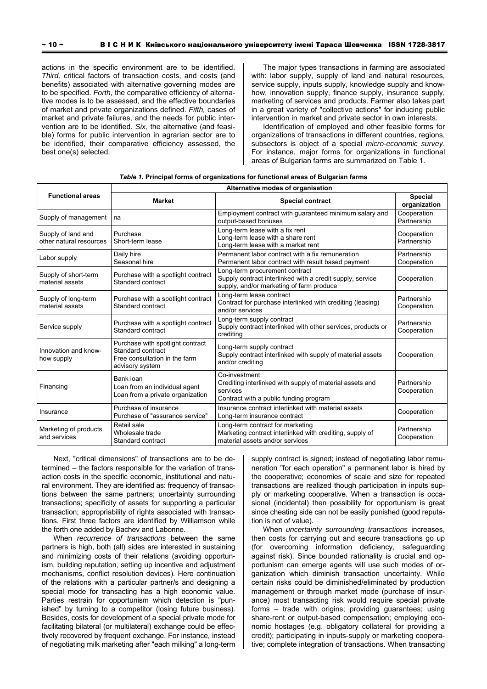actions in the specific environment are to be identified. *Third,* critical factors of transaction costs, and costs (and benefits) associated with alternative governing modes are to be specified. *Forth,* the comparative efficiency of alternative modes is to be assessed, and the effective boundaries of market and private organizations defined. *Fifth,* cases of market and private failures, and the needs for public intervention are to be identified. *Six,* the alternative (and feasible) forms for public intervention in agrarian sector are to be identified, their comparative efficiency assessed, the best one(s) selected.

The major types transactions in farming are associated with: labor supply, supply of land and natural resources, service supply, inputs supply, knowledge supply and knowhow, innovation supply, finance supply, insurance supply, marketing of services and products. Farmer also takes part in a great variety of "collective actions" for inducing public intervention in market and private sector in own interests.

Identification of employed and other feasible forms for organizations of transactions in different countries, regions, subsectors is object of a special *micro-economic survey*. For instance, major forms for organizations in functional<br>areas of Bulgarian farms are summarized on Table 1 areas of Bulgarian farms are summarized on Table 1.

|                                               |                                                                                                           | areas or Bulgarian family are summarized on Table 1.<br>Table 1. Principal forms of organizations for functional areas of Bulgarian farms |                                |  |  |  |  |  |
|-----------------------------------------------|-----------------------------------------------------------------------------------------------------------|-------------------------------------------------------------------------------------------------------------------------------------------|--------------------------------|--|--|--|--|--|
|                                               | Alternative modes of organisation                                                                         |                                                                                                                                           |                                |  |  |  |  |  |
| <b>Functional areas</b>                       | <b>Market</b>                                                                                             | <b>Special contract</b>                                                                                                                   | <b>Special</b><br>organization |  |  |  |  |  |
| Supply of management                          | na                                                                                                        | Employment contract with guaranteed minimum salary and<br>output-based bonuses                                                            | Cooperation<br>Partnership     |  |  |  |  |  |
| Supply of land and<br>other natural resources | Purchase<br>Short-term lease                                                                              | Long-term lease with a fix rent<br>Long-term lease with a share rent<br>Long-term lease with a market rent                                | Cooperation<br>Partnership     |  |  |  |  |  |
| Labor supply                                  | Daily hire<br>Seasonal hire                                                                               | Permanent labor contract with a fix remuneration<br>Permanent labor contract with result based payment                                    | Partnership<br>Cooperation     |  |  |  |  |  |
| Supply of short-term<br>material assets       | Purchase with a spotlight contract<br>Standard contract                                                   | Long-term procurement contract<br>Supply contract interlinked with a credit supply, service<br>supply, and/or marketing of farm produce   | Cooperation                    |  |  |  |  |  |
| Supply of long-term<br>material assets        | Purchase with a spotlight contract<br>Standard contract                                                   | Long-term lease contract<br>Contract for purchase interlinked with crediting (leasing)<br>and/or services                                 | Partnership<br>Cooperation     |  |  |  |  |  |
| Service supply                                | Purchase with a spotlight contract<br>Standard contract                                                   | Long-term supply contract<br>Supply contract interlinked with other services, products or<br>crediting                                    | Partnership<br>Cooperation     |  |  |  |  |  |
| Innovation and know-<br>how supply            | Purchase with spotlight contract<br>Standard contract<br>Free consultation in the farm<br>advisory system | Long-term supply contract<br>Supply contract interlinked with supply of material assets<br>and/or crediting                               | Cooperation                    |  |  |  |  |  |
| Financing                                     | Bank loan<br>Loan from an individual agent<br>Loan from a private organization                            | Co-investment<br>Crediting interlinked with supply of material assets and<br>services<br>Contract with a public funding program           | Partnership<br>Cooperation     |  |  |  |  |  |
| Insurance                                     | Purchase of insurance<br>Purchase of "assurance service"                                                  | Insurance contract interlinked with material assets<br>Long-term insurance contract                                                       | Cooperation                    |  |  |  |  |  |
| Marketing of products<br>and services         | Retail sale<br>Wholesale trade<br>Standard contract                                                       | Long-term contract for marketing<br>Marketing contract interlinked with crediting, supply of<br>material assets and/or services           | Partnership<br>Cooperation     |  |  |  |  |  |

Next, "critical dimensions" of transactions are to be determined – the factors responsible for the variation of transaction costs in the specific economic, institutional and natural environment. They are identified as: frequency of transactions between the same partners; uncertainty surrounding transactions; specificity of assets for supporting a particular transaction; appropriability of rights associated with transactions. First three factors are identified by Williamson while the forth one added by Bachev and Labonne.

When *recurrence of transactions* between the same partners is high, both (all) sides are interested in sustaining and minimizing costs of their relations (avoiding opportunism, building reputation, setting up incentive and adjustment mechanisms, conflict resolution devices). Here continuation of the relations with a particular partner/s and designing a special mode for transacting has a high economic value. Parties restrain for opportunism which detection is "punished" by turning to a competitor (losing future business). Besides, costs for development of a special private mode for facilitating bilateral (or multilateral) exchange could be effectively recovered by frequent exchange. For instance, instead of negotiating milk marketing after "each milking" a long-term

supply contract is signed; instead of negotiating labor remuneration "for each operation" a permanent labor is hired by the cooperative; economies of scale and size for repeated transactions are realized though participation in inputs supply or marketing cooperative. When a transaction is occasional (incidental) then possibility for opportunism is great since cheating side can not be easily punished (good reputation is not of value).

When *uncertainty surrounding transactions* increases, then costs for carrying out and secure transactions go up (for overcoming information deficiency, safeguarding against risk). Since bounded rationality is crucial and opportunism can emerge agents will use such modes of organization which diminish transaction uncertainty. While certain risks could be diminished/eliminated by production management or through market mode (purchase of insurance) most transacting risk would require special private forms – trade with origins; providing guarantees; using share-rent or output-based compensation; employing economic hostages (e.g. obligatory collateral for providing a credit); participating in inputs-supply or marketing cooperative; complete integration of transactions. When transacting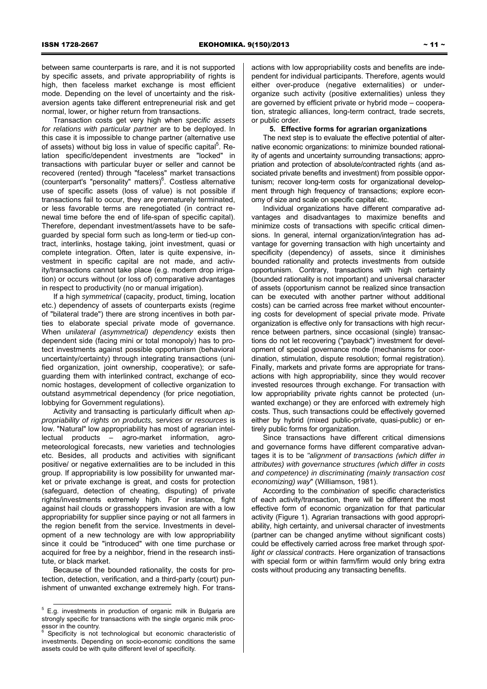between same counterparts is rare, and it is not supported by specific assets, and private appropriability of rights is high, then faceless market exchange is most efficient mode. Depending on the level of uncertainty and the riskaversion agents take different entrepreneurial risk and get normal, lower, or higher return from transactions.

Transaction costs get very high when *specific assets for relations with particular partner* are to be deployed. In this case it is impossible to change partner (alternative use of assets) without big loss in value of specific capital<sup>5</sup>. Relation specific/dependent investments are "locked" in transactions with particular buyer or seller and cannot be recovered (rented) through "faceless" market transactions (counterpart's "personality" matters)<sup>6</sup>. Costless alternative use of specific assets (loss of value) is not possible if transactions fail to occur, they are prematurely terminated, or less favorable terms are renegotiated (in contract renewal time before the end of life-span of specific capital). Therefore, dependant investment/assets have to be safeguarded by special form such as long-term or tied-up contract, interlinks, hostage taking, joint investment, quasi or complete integration. Often, later is quite expensive, investment in specific capital are not made, and activity/transactions cannot take place (e.g. modern drop irrigation) or occurs without (or loss of) comparative advantages in respect to productivity (no or manual irrigation).

If a high *symmetrical* (capacity, product, timing, location etc.) dependency of assets of counterparts exists (regime of "bilateral trade") there are strong incentives in both parties to elaborate special private mode of governance. When *unilateral (asymmetrical) dependency* exists then dependent side (facing mini or total monopoly) has to protect investments against possible opportunism (behavioral uncertainty/certainty) through integrating transactions (unified organization, joint ownership, cooperative); or safeguarding them with interlinked contract, exchange of economic hostages, development of collective organization to outstand asymmetrical dependency (for price negotiation, lobbying for Government regulations).

Activity and transacting is particularly difficult when *appropriability of rights on products, services or resources* is low. "Natural" low appropriability has most of agrarian intellectual products – agro-market information, agrometeorological forecasts, new varieties and technologies etc. Besides, all products and activities with significant positive/ or negative externalities are to be included in this group. If appropriability is low possibility for unwanted market or private exchange is great, and costs for protection (safeguard, detection of cheating, disputing) of private rights/investments extremely high. For instance, fight against hail clouds or grasshoppers invasion are with a low appropriability for supplier since paying or not all farmers in the region benefit from the service. Investments in development of a new technology are with low appropriability since it could be "introduced" with one time purchase or acquired for free by a neighbor, friend in the research institute, or black market.

Because of the bounded rationality, the costs for protection, detection, verification, and a third-party (court) punishment of unwanted exchange extremely high. For transactions with low appropriability costs and benefits are independent for individual participants. Therefore, agents would either over-produce (negative externalities) or underorganize such activity (positive externalities) unless they are governed by efficient private or hybrid mode – cooperation, strategic alliances, long-term contract, trade secrets, or public order.

### **5. Effective forms for agrarian organizations**

The next step is to evaluate the effective potential of alternative economic organizations: to minimize bounded rationality of agents and uncertainty surrounding transactions; appropriation and protection of absolute/contracted rights (and associated private benefits and investment) from possible opportunism; recover long-term costs for organizational development through high frequency of transactions; explore economy of size and scale on specific capital etc.

Individual organizations have different comparative advantages and disadvantages to maximize benefits and minimize costs of transactions with specific critical dimensions. In general, internal organization/integration has advantage for governing transaction with high uncertainty and specificity (dependency) of assets, since it diminishes bounded rationality and protects investments from outside opportunism. Contrary, transactions with high certainty (bounded rationality is not important) and universal character of assets (opportunism cannot be realized since transaction can be executed with another partner without additional costs) can be carried across free market without encountering costs for development of special private mode. Private organization is effective only for transactions with high recurrence between partners, since occasional (single) transactions do not let recovering ("payback") investment for development of special governance mode (mechanisms for coordination, stimulation, dispute resolution; formal registration). Finally, markets and private forms are appropriate for transactions with high appropriability, since they would recover invested resources through exchange. For transaction with low appropriability private rights cannot be protected (unwanted exchange) or they are enforced with extremely high costs. Thus, such transactions could be effectively governed either by hybrid (mixed public-private, quasi-public) or entirely public forms for organization.

Since transactions have different critical dimensions and governance forms have different comparative advantages it is to be *"alignment of transactions (which differ in attributes) with governance structures (which differ in costs and competence) in discriminating (mainly transaction cost economizing) way*" (Williamson, 1981).

According to the *combination* of specific characteristics of each activity/transaction, there will be different the most effective form of economic organization for that particular activity (Figure 1). Agrarian transactions with good appropriability, high certainty, and universal character of investments (partner can be changed anytime without significant costs) could be effectively carried across free market through *spotlight or classical contracts*. Here organization of transactions with special form or within farm/firm would only bring extra costs without producing any transacting benefits.

 <sup>5</sup> E.g. investments in production of organic milk in Bulgaria are strongly specific for transactions with the single organic milk processor in the country.<br><sup>6</sup> Specificity is not

Specificity is not technological but economic characteristic of investments. Depending on socio-economic conditions the same assets could be with quite different level of specificity.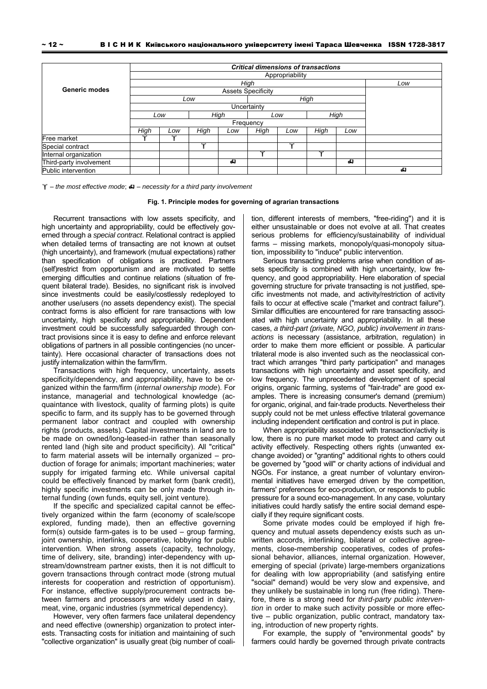|                         | <b>Critical dimensions of transactions</b><br>Appropriability |      |      |      |      |       |      |      |     |
|-------------------------|---------------------------------------------------------------|------|------|------|------|-------|------|------|-----|
|                         | High                                                          |      |      |      |      |       |      |      | Low |
| <b>Generic modes</b>    | <b>Assets Specificity</b>                                     |      |      |      |      |       |      |      |     |
|                         | Low                                                           |      |      |      | High |       |      |      |     |
|                         | Uncertainty                                                   |      |      |      |      |       |      |      |     |
|                         |                                                               | Low  |      | High |      | Low   |      | High |     |
|                         | Frequency                                                     |      |      |      |      |       |      |      |     |
|                         | High                                                          | Low  | High | Low  | High | Low   | High | Low  |     |
| Free market             | اروبا                                                         | اردا |      |      |      |       |      |      |     |
| Special contract        |                                                               |      | w'   |      |      | 11.77 |      |      |     |
| Internal organization   |                                                               |      |      |      | f(x) |       | f(x) |      |     |
| Third-party involvement |                                                               |      |      | dQ.  |      |       |      | dQ.  |     |
| Public intervention     |                                                               |      |      |      |      |       |      |      | đО  |

 $\mathbf{Y}$  – the most effective mode;  $\mathbf{A}$  – necessity for a third party involvement

**Fig. 1. Principle modes for governing of agrarian transactions** 

Recurrent transactions with low assets specificity, and high uncertainty and appropriability, could be effectively governed through a *special contract*. Relational contract is applied when detailed terms of transacting are not known at outset (high uncertainty), and framework (mutual expectations) rather than specification of obligations is practiced. Partners (self)restrict from opportunism and are motivated to settle emerging difficulties and continue relations (situation of frequent bilateral trade). Besides, no significant risk is involved since investments could be easily/costlessly redeployed to another use/users (no assets dependency exist). The special contract forms is also efficient for rare transactions with low uncertainty, high specificity and appropriability. Dependent investment could be successfully safeguarded through contract provisions since it is easy to define and enforce relevant obligations of partners in all possible contingencies (no uncertainty). Here occasional character of transactions does not justify internalization within the farm/firm.

Transactions with high frequency, uncertainty, assets specificity/dependency, and appropriability, have to be organized within the farm/firm (*internal ownership mode*). For instance, managerial and technological knowledge (acquaintance with livestock, quality of farming plots) is quite specific to farm, and its supply has to be governed through permanent labor contract and coupled with ownership rights (products, assets). Capital investments in land are to be made on owned/long-leased-in rather than seasonally rented land (high site and product specificity). All "critical" to farm material assets will be internally organized – production of forage for animals; important machineries; water supply for irrigated farming etc. While universal capital could be effectively financed by market form (bank credit), highly specific investments can be only made through internal funding (own funds, equity sell, joint venture).

If the specific and specialized capital cannot be effectively organized within the farm (economy of scale/scope explored, funding made), then an effective governing form(s) outside farm-gates is to be used – group farming, joint ownership, interlinks, cooperative, lobbying for public intervention. When strong assets (capacity, technology, time of delivery, site, branding) inter-dependency with upstream/downstream partner exists, then it is not difficult to govern transactions through contract mode (strong mutual interests for cooperation and restriction of opportunism). For instance, effective supply/procurement contracts between farmers and processors are widely used in dairy, meat, vine, organic industries (symmetrical dependency).

However, very often farmers face unilateral dependency and need effective (ownership) organization to protect interests. Transacting costs for initiation and maintaining of such "collective organization" is usually great (big number of coalition, different interests of members, "free-riding") and it is either unsustainable or does not evolve at all. That creates serious problems for efficiency/sustainability of individual farms – missing markets, monopoly/quasi-monopoly situation, impossibility to "induce" public intervention.

Serious transacting problems arise when condition of assets specificity is combined with high uncertainty, low frequency, and good appropriability. Here elaboration of special governing structure for private transacting is not justified, specific investments not made, and activity/restriction of activity fails to occur at effective scale ("market and contract failure"). Similar difficulties are encountered for rare transacting associated with high uncertainty and appropriability. In all these cases, *a third-part (private, NGO, public) involvement in transactions* is necessary (assistance, arbitration, regulation) in order to make them more efficient or possible. A particular trilateral mode is also invented such as the neoclassical contract which arranges "third party participation" and manages transactions with high uncertainty and asset specificity, and low frequency. The unprecedented development of special origins, organic farming, systems of "fair-trade" are good examples. There is increasing consumer's demand (premium) for organic, original, and fair-trade products. Nevertheless their supply could not be met unless effective trilateral governance including independent certification and control is put in place.

When appropriability associated with transaction/activity is low, there is no pure market mode to protect and carry out activity effectively. Respecting others rights (unwanted exchange avoided) or "granting" additional rights to others could be governed by "good will" or charity actions of individual and NGOs. For instance, a great number of voluntary environmental initiatives have emerged driven by the competition, farmers' preferences for eco-production, or responds to public pressure for a sound eco-management. In any case, voluntary initiatives could hardly satisfy the entire social demand especially if they require significant costs.

Some private modes could be employed if high frequency and mutual assets dependency exists such as unwritten accords, interlinking, bilateral or collective agreements, close-membership cooperatives, codes of professional behavior, alliances, internal organization. However, emerging of special (private) large-members organizations for dealing with low appropriability (and satisfying entire "social" demand) would be very slow and expensive, and they unlikely be sustainable in long run (free riding). Therefore, there is a strong need for *third-party public intervention* in order to make such activity possible or more effective – public organization, public contract, mandatory taxing, introduction of new property rights.

For example, the supply of "environmental goods" by farmers could hardly be governed through private contracts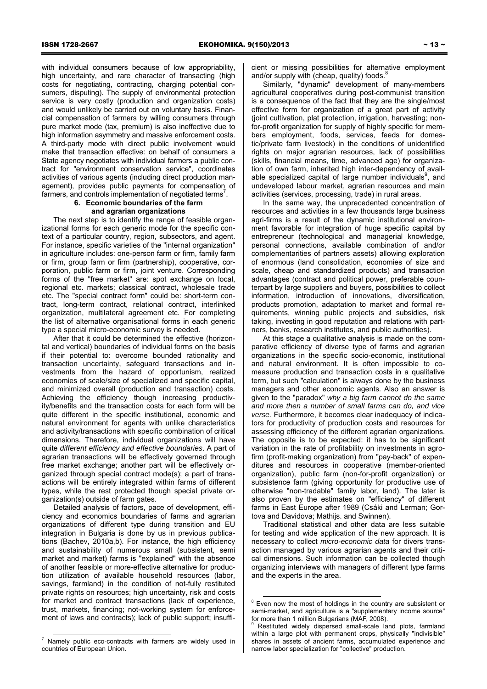with individual consumers because of low appropriability, high uncertainty, and rare character of transacting (high costs for negotiating, contracting, charging potential consumers, disputing). The supply of environmental protection service is very costly (production and organization costs) and would unlikely be carried out on voluntary basis. Financial compensation of farmers by willing consumers through pure market mode (tax, premium) is also ineffective due to high information asymmetry and massive enforcement costs. A third-party mode with direct public involvement would make that transaction effective: on behalf of consumers a State agency negotiates with individual farmers a public contract for "environment conservation service", coordinates activities of various agents (including direct production management), provides public payments for compensation of farmers, and controls implementation of negotiated terms<sup>7</sup>.

### **6. Economic boundaries of the farm and agrarian organizations**

The next step is to identify the range of feasible organizational forms for each generic mode for the specific context of a particular country, region, subsectors, and agent. For instance, specific varieties of the "internal organization" in agriculture includes: one-person farm or firm, family farm or firm, group farm or firm (partnership), cooperative, corporation, public farm or firm, joint venture. Corresponding forms of the "free market" are: spot exchange on local, regional etc. markets; classical contract, wholesale trade etc. The "special contract form" could be: short-term contract, long-term contract, relational contract, interlinked organization, multilateral agreement etc. For completing the list of alternative organisational forms in each generic type a special micro-economic survey is needed.

After that it could be determined the effective (horizontal and vertical) boundaries of individual forms on the basis if their potential to: overcome bounded rationality and transaction uncertainty, safeguard transactions and investments from the hazard of opportunism, realized economies of scale/size of specialized and specific capital, and minimized overall (production and transaction) costs. Achieving the efficiency though increasing productivity/benefits and the transaction costs for each form will be quite different in the specific institutional, economic and natural environment for agents with unlike characteristics and activity/transactions with specific combination of critical dimensions. Therefore, individual organizations will have quite *different efficiency and effective boundaries*. A part of agrarian transactions will be effectively governed through free market exchange; another part will be effectively organized through special contract mode(s); a part of transactions will be entirely integrated within farms of different types, while the rest protected though special private organization(s) outside of farm gates.

Detailed analysis of factors, pace of development, efficiency and economics boundaries of farms and agrarian organizations of different type during transition and EU integration in Bulgaria is done by us in previous publications (Bachev, 2010a,b). For instance, the high efficiency and sustainability of numerous small (subsistent, semi market and market) farms is "explained" with the absence of another feasible or more-effective alternative for production utilization of available household resources (labor, savings, farmland) in the condition of not-fully restituted private rights on resources; high uncertainty, risk and costs for market and contract transactions (lack of experience, trust, markets, financing; not-working system for enforcement of laws and contracts); lack of public support; insufficient or missing possibilities for alternative employment and/or supply with (cheap, quality) foods. $8$ 

Similarly, "dynamic" development of many-members agricultural cooperatives during post-communist transition is a consequence of the fact that they are the single/most effective form for organization of a great part of activity (joint cultivation, plat protection, irrigation, harvesting; nonfor-profit organization for supply of highly specific for members employment, foods, services, feeds for domestic/private farm livestock) in the conditions of unidentified rights on major agrarian resources, lack of possibilities (skills, financial means, time, advanced age) for organization of own farm, inherited high inter-dependency of available specialized capital of large number individuals<sup>9</sup>, and undeveloped labour market, agrarian resources and main activities (services, processing, trade) in rural areas.

In the same way, the unprecedented concentration of resources and activities in a few thousands large business agri-firms is a result of the dynamic institutional environment favorable for integration of huge specific capital by entrepreneur (technological and managerial knowledge, personal connections, available combination of and/or complementarities of partners assets) allowing exploration of enormous (land consolidation, economies of size and scale, cheap and standardized products) and transaction advantages (contract and political power, preferable counterpart by large suppliers and buyers, possibilities to collect information, introduction of innovations, diversification, products promotion, adaptation to market and formal requirements, winning public projects and subsidies, risk taking, investing in good reputation and relations with partners, banks, research institutes, and public authorities).

At this stage a qualitative analysis is made on the comparative efficiency of diverse type of farms and agrarian organizations in the specific socio-economic, institutional and natural environment. It is often impossible to comeasure production and transaction costs in a qualitative term, but such "calculation" is always done by the business managers and other economic agents. Also an answer is given to the "paradox" *why a big farm cannot do the same and more then a number of small farms can do, and vice verse.* Furthermore, it becomes clear inadequacy of indicators for productivity of production costs and resources for assessing efficiency of the different agrarian organizations. The opposite is to be expected: it has to be significant variation in the rate of profitability on investments in agrofirm (profit-making organization) from "pay-back" of expenditures and resources in cooperative (member-oriented organization), public farm (non-for-profit organization) or subsistence farm (giving opportunity for productive use of otherwise "non-tradable" family labor, land). The later is also proven by the estimates on "efficiency" of different farms in East Europe after 1989 (Csáki and Lerman; Gortova and Davidova; Mathijs. and Swinnen).

Traditional statistical and other data are less suitable for testing and wide application of the new approach. It is necessary to collect *micro-economic data* for divers transaction managed by various agrarian agents and their critical dimensions. Such information can be collected though organizing interviews with managers of different type farms and the experts in the area.

<sup>&</sup>lt;sup>7</sup> Namely public eco-contracts with farmers are widely used in countries of European Union.

<sup>&</sup>lt;sup>8</sup> Even now the most of holdings in the country are subsistent or semi-market, and agriculture is a "supplementary income source" for more than 1 million Bulgarians (MAF, 2008).

Restituted widely dispersed small-scale land plots, farmland within a large plot with permanent crops, physically "indivisible" shares in assets of ancient farms, accumulated experience and narrow labor specialization for "collective" production.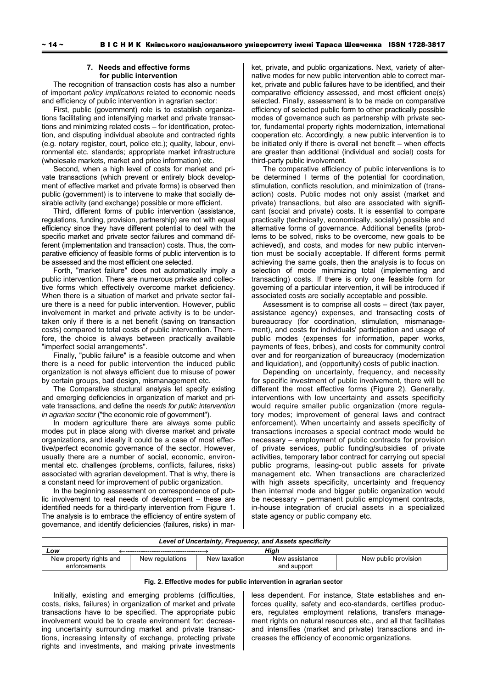## **7. Needs and effective forms for public intervention**

The recognition of transaction costs has also a number of important *policy implications* related to economic needs and efficiency of public intervention in agrarian sector:

First, public (government) role is to establish organizations facilitating and intensifying market and private transactions and minimizing related costs – for identification, protection, and disputing individual absolute and contracted rights (e.g. notary register, court, police etc.); quality, labour, environmental etc. standards; appropriate market infrastructure (wholesale markets, market and price information) etc.

Second, when a high level of costs for market and private transactions (which prevent or entirely block development of effective market and private forms) is observed then public (government) is to intervene to make that socially desirable activity (and exchange) possible or more efficient.

Third, different forms of public intervention (assistance, regulations, funding, provision, partnership) are not with equal efficiency since they have different potential to deal with the specific market and private sector failures and command different (implementation and transaction) costs. Thus, the comparative efficiency of feasible forms of public intervention is to be assessed and the most efficient one selected.

Forth, "market failure" does not automatically imply a public intervention. There are numerous private and collective forms which effectively overcome market deficiency. When there is a situation of market and private sector failure there is a need for public intervention. However, public involvement in market and private activity is to be undertaken only if there is a net benefit (saving on transaction costs) compared to total costs of public intervention. Therefore, the choice is always between practically available "imperfect social arrangements".

Finally, "public failure" is a feasible outcome and when there is a need for public intervention the induced public organization is not always efficient due to misuse of power by certain groups, bad design, mismanagement etc.

The Comparative structural analysis let specify existing and emerging deficiencies in organization of market and private transactions, and define the *needs for public intervention in agrarian sector* ("the economic role of government").

In modern agriculture there are always some public modes put in place along with diverse market and private organizations, and ideally it could be a case of most effective/perfect economic governance of the sector. However, usually there are a number of social, economic, environmental etc. challenges (problems, conflicts, failures, risks) associated with agrarian development. That is why, there is a constant need for improvement of public organization.

In the beginning assessment on correspondence of public involvement to real needs of development – these are identified needs for a third-party intervention from Figure 1. The analysis is to embrace the efficiency of entire system of governance, and identify deficiencies (failures, risks) in market, private, and public organizations. Next, variety of alternative modes for new public intervention able to correct market, private and public failures have to be identified, and their comparative efficiency assessed, and most efficient one(s) selected. Finally, assessment is to be made on comparative efficiency of selected public form to other practically possible modes of governance such as partnership with private sector, fundamental property rights modernization, international cooperation etc. Accordingly, a new public intervention is to be initiated only if there is overall net benefit – when effects are greater than additional (individual and social) costs for third-party public involvement.

The comparative efficiency of public interventions is to be determined I terms of the potential for coordination, stimulation, conflicts resolution, and minimization of (transaction) costs. Public modes not only assist (market and private) transactions, but also are associated with significant (social and private) costs. It is essential to compare practically (technically, economically, socially) possible and alternative forms of governance. Additional benefits (problems to be solved, risks to be overcome, new goals to be achieved), and costs, and modes for new public intervention must be socially acceptable. If different forms permit achieving the same goals, then the analysis is to focus on selection of mode minimizing total (implementing and transacting) costs. If there is only one feasible form for governing of a particular intervention, it will be introduced if associated costs are socially acceptable and possible.

Assessment is to comprise all costs – direct (tax payer, assistance agency) expenses, and transacting costs of bureaucracy (for coordination, stimulation, mismanagement), and costs for individuals' participation and usage of public modes (expenses for information, paper works, payments of fees, bribes), and costs for community control over and for reorganization of bureaucracy (modernization and liquidation), and (opportunity) costs of public inaction.

Depending on uncertainty, frequency, and necessity for specific investment of public involvement, there will be different the most effective forms (Figure 2). Generally, interventions with low uncertainty and assets specificity would require smaller public organization (more regulatory modes; improvement of general laws and contract enforcement). When uncertainty and assets specificity of transactions increases a special contract mode would be necessary – employment of public contracts for provision of private services, public funding/subsidies of private activities, temporary labor contract for carrying out special public programs, leasing-out public assets for private management etc. When transactions are characterized with high assets specificity, uncertainty and frequency then internal mode and bigger public organization would be necessary – permanent public employment contracts, in-house integration of crucial assets in a specialized state agency or public company etc.

| Level of Uncertainty, Frequency, and Assets specificity |                 |              |                               |                      |  |  |
|---------------------------------------------------------|-----------------|--------------|-------------------------------|----------------------|--|--|
| Low                                                     |                 |              | Hiah                          |                      |  |  |
| New property rights and<br>enforcements                 | New regulations | New taxation | New assistance<br>and support | New public provision |  |  |

| Fig. 2. Effective modes for public intervention in agrarian sector |  |  |  |  |  |  |  |  |
|--------------------------------------------------------------------|--|--|--|--|--|--|--|--|
|--------------------------------------------------------------------|--|--|--|--|--|--|--|--|

Initially, existing and emerging problems (difficulties, costs, risks, failures) in organization of market and private transactions have to be specified. The appropriate pubic involvement would be to create environment for: decreasing uncertainty surrounding market and private transactions, increasing intensity of exchange, protecting private rights and investments, and making private investments less dependent. For instance, State establishes and enforces quality, safety and eco-standards, certifies producers, regulates employment relations, transfers management rights on natural resources etc., and all that facilitates and intensifies (market and private) transactions and increases the efficiency of economic organizations.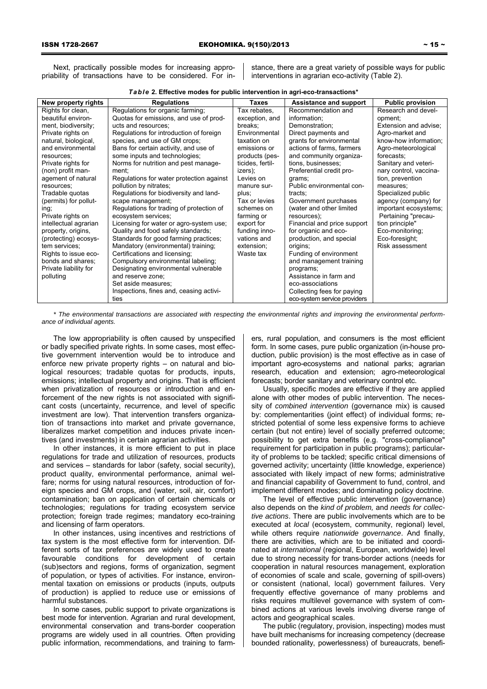Next, practically possible modes for increasing appropriability of transactions have to be considered. For in-

stance, there are a great variety of possible ways for public I interventions in agrarian eco-activity (Table 2).

| New property rights   | <b>Regulations</b>                       | <b>Taxes</b>     | <b>Assistance and support</b> | <b>Public provision</b> |
|-----------------------|------------------------------------------|------------------|-------------------------------|-------------------------|
| Rights for clean,     | Regulations for organic farming;         | Tax rebates,     | Recommendation and            | Research and devel-     |
| beautiful environ-    | Quotas for emissions, and use of prod-   | exception, and   | information;                  | opment;                 |
| ment, biodiversity;   | ucts and resources;                      | breaks:          | Demonstration;                | Extension and advise:   |
| Private rights on     | Regulations for introduction of foreign  | Environmental    | Direct payments and           | Agro-market and         |
| natural, biological,  | species, and use of GM crops:            | taxation on      | grants for environmental      | know-how information;   |
| and environmental     | Bans for certain activity, and use of    | emissions or     | actions of farms, farmers     | Agro-meteorological     |
| resources:            | some inputs and technologies;            | products (pes-   | and community organiza-       | forecasts:              |
| Private rights for    | Norms for nutrition and pest manage-     | ticides, fertil- | tions. businesses:            | Sanitary and veteri-    |
| (non) profit man-     | ment:                                    | izers);          | Preferential credit pro-      | nary control, vaccina-  |
| agement of natural    | Regulations for water protection against | Levies on        | qrams;                        | tion, prevention        |
| resources:            | pollution by nitrates:                   | manure sur-      | Public environmental con-     | measures:               |
| Tradable quotas       | Regulations for biodiversity and land-   | plus;            | tracts:                       | Specialized public      |
| (permits) for pollut- | scape management;                        | Tax or levies    | Government purchases          | agency (company) for    |
| ing;                  | Regulations for trading of protection of | schemes on       | (water and other limited      | important ecosystems;   |
| Private rights on     | ecosystem services;                      | farming or       | resources);                   | Pertaining "precau-     |
| intellectual agrarian | Licensing for water or agro-system use;  | export for       | Financial and price support   | tion principle"         |
| property, origins,    | Quality and food safely standards:       | funding inno-    | for organic and eco-          | Eco-monitoring;         |
| (protecting) ecosys-  | Standards for good farming practices;    | vations and      | production, and special       | Eco-foresight;          |
| tem services:         | Mandatory (environmental) training;      | extension:       | origins;                      | Risk assessment         |
| Rights to issue eco-  | Certifications and licensing;            | Waste tax        | Funding of environment        |                         |
| bonds and shares;     | Compulsory environmental labeling;       |                  | and management training       |                         |
| Private liability for | Designating environmental vulnerable     |                  | programs;                     |                         |
| polluting             | and reserve zone;                        |                  | Assistance in farm and        |                         |
|                       | Set aside measures:                      |                  | eco-associations              |                         |
|                       | Inspections, fines and, ceasing activi-  |                  | Collecting fees for paying    |                         |
|                       | ties                                     |                  | eco-system service providers  |                         |

*Table* **2. Effective modes for public intervention in agri-eco-transactions\*** 

*\* The environmental transactions are associated with respecting the environmental rights and improving the environmental performance of individual agents.* 

The low appropriability is often caused by unspecified or badly specified private rights. In some cases, most effective government intervention would be to introduce and enforce new private property rights – on natural and biological resources; tradable quotas for products, inputs, emissions; intellectual property and origins. That is efficient when privatization of resources or introduction and enforcement of the new rights is not associated with significant costs (uncertainty, recurrence, and level of specific investment are low). That intervention transfers organization of transactions into market and private governance, liberalizes market competition and induces private incentives (and investments) in certain agrarian activities.

In other instances, it is more efficient to put in place regulations for trade and utilization of resources, products and services – standards for labor (safety, social security), product quality, environmental performance, animal welfare; norms for using natural resources, introduction of foreign species and GM crops, and (water, soil, air, comfort) contamination; ban on application of certain chemicals or technologies; regulations for trading ecosystem service protection; foreign trade regimes; mandatory eco-training and licensing of farm operators.

In other instances, using incentives and restrictions of tax system is the most effective form for intervention. Different sorts of tax preferences are widely used to create favourable conditions for development of certain (sub)sectors and regions, forms of organization, segment of population, or types of activities. For instance, environmental taxation on emissions or products (inputs, outputs of production) is applied to reduce use or emissions of harmful substances.

In some cases, public support to private organizations is best mode for intervention. Agrarian and rural development, environmental conservation and trans-border cooperation programs are widely used in all countries. Often providing public information, recommendations, and training to farmers, rural population, and consumers is the most efficient form. In some cases, pure public organization (in-house production, public provision) is the most effective as in case of important agro-ecosystems and national parks; agrarian research, education and extension; agro-meteorological forecasts; border sanitary and veterinary control etc.

Usually, specific modes are effective if they are applied alone with other modes of public intervention. The necessity of *combined intervention* (governance mix) is caused by: complementarities (joint effect) of individual forms; restricted potential of some less expensive forms to achieve certain (but not entire) level of socially preferred outcome; possibility to get extra benefits (e.g. "cross-compliance" requirement for participation in public programs); particularity of problems to be tackled; specific critical dimensions of governed activity; uncertainty (little knowledge, experience) associated with likely impact of new forms; administrative and financial capability of Government to fund, control, and implement different modes; and dominating policy doctrine.

The level of effective public intervention (governance) also depends on the *kind of problem,* and *needs for collective actions*. There are public involvements which are to be executed at *local* (ecosystem, community, regional) level, while others require *nationwide governance*. And finally, there are activities, which are to be initiated and coordinated at *international* (regional, European, worldwide) level due to strong necessity for trans-border actions (needs for cooperation in natural resources management, exploration of economies of scale and scale, governing of spill-overs) or consistent (national, local) government failures. Very frequently effective governance of many problems and risks requires multilevel governance with system of combined actions at various levels involving diverse range of actors and geographical scales.

The public (regulatory, provision, inspecting) modes must have built mechanisms for increasing competency (decrease bounded rationality, powerlessness) of bureaucrats, benefi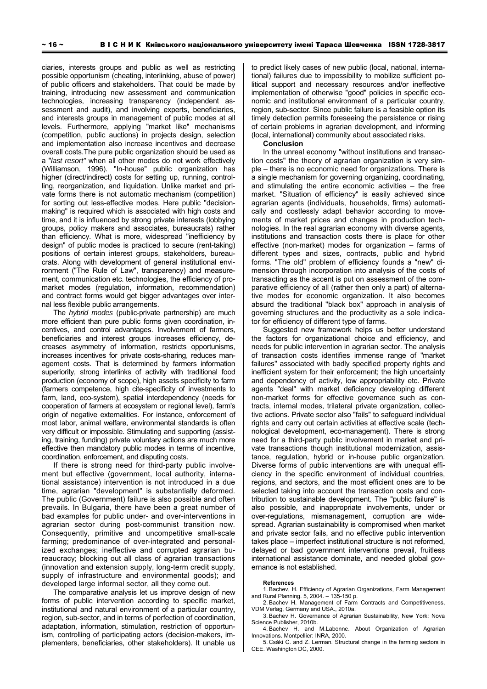ciaries, interests groups and public as well as restricting possible opportunism (cheating, interlinking, abuse of power) of public officers and stakeholders. That could be made by training, introducing new assessment and communication technologies, increasing transparency (independent assessment and audit), and involving experts, beneficiaries, and interests groups in management of public modes at all levels. Furthermore, applying "market like" mechanisms (competition, public auctions) in projects design, selection and implementation also increase incentives and decrease overall costs.The pure public organization should be used as a "*last resort"* when all other modes do not work effectively (Williamson, 1996). "In-house" public organization has higher (direct/indirect) costs for setting up, running, controlling, reorganization, and liquidation. Unlike market and private forms there is not automatic mechanism (competition) for sorting out less-effective modes. Here public "decisionmaking" is required which is associated with high costs and time, and it is influenced by strong private interests (lobbying groups, policy makers and associates, bureaucrats) rather than efficiency. What is more, widespread "inefficiency by design" of public modes is practiced to secure (rent-taking) positions of certain interest groups, stakeholders, bureaucrats. Along with development of general institutional environment ("The Rule of Law", transparency) and measurement, communication etc. technologies, the efficiency of promarket modes (regulation, information, recommendation) and contract forms would get bigger advantages over internal less flexible public arrangements.

The *hybrid modes* (public-private partnership) are much more efficient than pure public forms given coordination, incentives, and control advantages. Involvement of farmers, beneficiaries and interest groups increases efficiency, decreases asymmetry of information, restricts opportunisms, increases incentives for private costs-sharing, reduces management costs. That is determined by farmers information superiority, strong interlinks of activity with traditional food production (economy of scope), high assets specificity to farm (farmers competence, high cite-specificity of investments to farm, land, eco-system), spatial interdependency (needs for cooperation of farmers at ecosystem or regional level), farm's origin of negative externalities. For instance, enforcement of most labor, animal welfare, environmental standards is often very difficult or impossible. Stimulating and supporting (assisting, training, funding) private voluntary actions are much more effective then mandatory public modes in terms of incentive, coordination, enforcement, and disputing costs.

If there is strong need for third-party public involvement but effective (government, local authority, international assistance) intervention is not introduced in a due time, agrarian "development" is substantially deformed. The public (Government) failure is also possible and often prevails. In Bulgaria, there have been a great number of bad examples for public under- and over-interventions in agrarian sector during post-communist transition now. Consequently, primitive and uncompetitive small-scale farming; predominance of over-integrated and personalized exchanges; ineffective and corrupted agrarian bureaucracy; blocking out all class of agrarian transactions (innovation and extension supply, long-term credit supply, supply of infrastructure and environmental goods); and developed large informal sector, all they come out.

The comparative analysis let us improve design of new forms of public intervention according to specific market, institutional and natural environment of a particular country, region, sub-sector, and in terms of perfection of coordination, adaptation, information, stimulation, restriction of opportunism, controlling of participating actors (decision-makers, implementers, beneficiaries, other stakeholders). It unable us

to predict likely cases of new public (local, national, international) failures due to impossibility to mobilize sufficient political support and necessary resources and/or ineffective implementation of otherwise "good" policies in specific economic and institutional environment of a particular country, region, sub-sector. Since public failure is a feasible option its timely detection permits foreseeing the persistence or rising of certain problems in agrarian development, and informing (local, international) community about associated risks.

#### **Conclusion**

In the unreal economy "without institutions and transaction costs" the theory of agrarian organization is very simple – there is no economic need for organizations. There is a single mechanism for governing organizing, coordinating, and stimulating the entire economic activities – the free market. "Situation of efficiency" is easily achieved since agrarian agents (individuals, households, firms) automatically and costlessly adapt behavior according to movements of market prices and changes in production technologies. In the real agrarian economy with diverse agents, institutions and transaction costs there is place for other effective (non-market) modes for organization – farms of different types and sizes, contracts, public and hybrid forms. "The old" problem of efficiency founds a "new" dimension through incorporation into analysis of the costs of transacting as the accent is put on assessment of the comparative efficiency of all (rather then only a part) of alternative modes for economic organization. It also becomes absurd the traditional "black box" approach in analysis of governing structures and the productivity as a sole indicator for efficiency of different type of farms.

Suggested new framework helps us better understand the factors for organizational choice and efficiency, and needs for public intervention in agrarian sector. The analysis of transaction costs identifies immense range of "market failures" associated with badly specified property rights and inefficient system for their enforcement; the high uncertainty and dependency of activity, low appropriability etc. Private agents "deal" with market deficiency developing different non-market forms for effective governance such as contracts, internal modes, trilateral private organization, collective actions. Private sector also "fails" to safeguard individual rights and carry out certain activities at effective scale (technological development, eco-management). There is strong need for a third-party public involvement in market and private transactions though institutional modernization, assistance, regulation, hybrid or in-house public organization. Diverse forms of public interventions are with unequal efficiency in the specific environment of individual countries, regions, and sectors, and the most efficient ones are to be selected taking into account the transaction costs and contribution to sustainable development. The "public failure" is also possible, and inappropriate involvements, under or over-regulations, mismanagement, corruption are widespread. Agrarian sustainability is compromised when market and private sector fails, and no effective public intervention takes place – imperfect institutional structure is not reformed, delayed or bad government interventions prevail, fruitless international assistance dominate, and needed global governance is not established.

### **References**

1. Bachev, H. Efficiency of Agrarian Organizations, Farm Management and Rural Planning. 5, 2004. – 135-150 p.

2. Bachev H. Management of Farm Contracts and Competitiveness, VDM Verlag, Germany and USA., 2010a.

3. Bachev H. Governance of Agrarian Sustainability, New York: Nova Science Publisher, 2010b.

4. Bachev H. and M.Labonne. About Organization of Agrarian Innovations. Montpellier: INRA, 2000.

5. Csáki C. and Z. Lerman. Structural change in the farming sectors in CЕЕ. Washington DC, 2000.